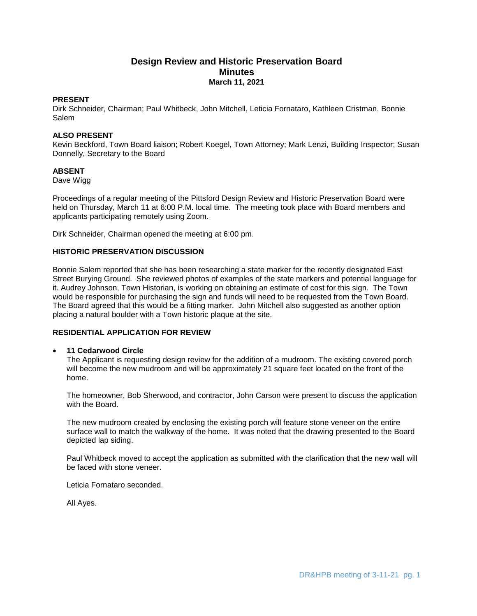# **Design Review and Historic Preservation Board Minutes March 11, 2021**

### **PRESENT**

Dirk Schneider, Chairman; Paul Whitbeck, John Mitchell, Leticia Fornataro, Kathleen Cristman, Bonnie **Salem** 

## **ALSO PRESENT**

Kevin Beckford, Town Board liaison; Robert Koegel, Town Attorney; Mark Lenzi, Building Inspector; Susan Donnelly, Secretary to the Board

## **ABSENT**

Dave Wigg

Proceedings of a regular meeting of the Pittsford Design Review and Historic Preservation Board were held on Thursday, March 11 at 6:00 P.M. local time. The meeting took place with Board members and applicants participating remotely using Zoom.

Dirk Schneider, Chairman opened the meeting at 6:00 pm.

### **HISTORIC PRESERVATION DISCUSSION**

Bonnie Salem reported that she has been researching a state marker for the recently designated East Street Burying Ground. She reviewed photos of examples of the state markers and potential language for it. Audrey Johnson, Town Historian, is working on obtaining an estimate of cost for this sign. The Town would be responsible for purchasing the sign and funds will need to be requested from the Town Board. The Board agreed that this would be a fitting marker. John Mitchell also suggested as another option placing a natural boulder with a Town historic plaque at the site.

## **RESIDENTIAL APPLICATION FOR REVIEW**

### **11 Cedarwood Circle**

The Applicant is requesting design review for the addition of a mudroom. The existing covered porch will become the new mudroom and will be approximately 21 square feet located on the front of the home.

The homeowner, Bob Sherwood, and contractor, John Carson were present to discuss the application with the Board.

The new mudroom created by enclosing the existing porch will feature stone veneer on the entire surface wall to match the walkway of the home. It was noted that the drawing presented to the Board depicted lap siding.

Paul Whitbeck moved to accept the application as submitted with the clarification that the new wall will be faced with stone veneer.

Leticia Fornataro seconded.

All Ayes.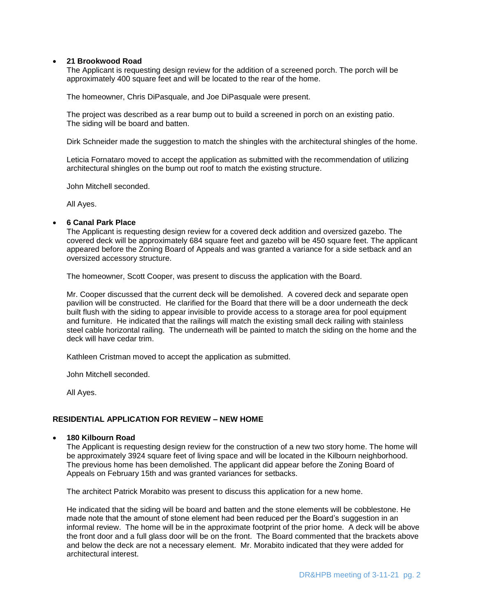### **21 Brookwood Road**

The Applicant is requesting design review for the addition of a screened porch. The porch will be approximately 400 square feet and will be located to the rear of the home.

The homeowner, Chris DiPasquale, and Joe DiPasquale were present.

The project was described as a rear bump out to build a screened in porch on an existing patio. The siding will be board and batten.

Dirk Schneider made the suggestion to match the shingles with the architectural shingles of the home.

Leticia Fornataro moved to accept the application as submitted with the recommendation of utilizing architectural shingles on the bump out roof to match the existing structure.

John Mitchell seconded.

All Ayes.

#### **6 Canal Park Place**

The Applicant is requesting design review for a covered deck addition and oversized gazebo. The covered deck will be approximately 684 square feet and gazebo will be 450 square feet. The applicant appeared before the Zoning Board of Appeals and was granted a variance for a side setback and an oversized accessory structure.

The homeowner, Scott Cooper, was present to discuss the application with the Board.

Mr. Cooper discussed that the current deck will be demolished. A covered deck and separate open pavilion will be constructed. He clarified for the Board that there will be a door underneath the deck built flush with the siding to appear invisible to provide access to a storage area for pool equipment and furniture. He indicated that the railings will match the existing small deck railing with stainless steel cable horizontal railing. The underneath will be painted to match the siding on the home and the deck will have cedar trim.

Kathleen Cristman moved to accept the application as submitted.

John Mitchell seconded.

All Ayes.

### **RESIDENTIAL APPLICATION FOR REVIEW – NEW HOME**

#### **180 Kilbourn Road**

The Applicant is requesting design review for the construction of a new two story home. The home will be approximately 3924 square feet of living space and will be located in the Kilbourn neighborhood. The previous home has been demolished. The applicant did appear before the Zoning Board of Appeals on February 15th and was granted variances for setbacks.

The architect Patrick Morabito was present to discuss this application for a new home.

He indicated that the siding will be board and batten and the stone elements will be cobblestone. He made note that the amount of stone element had been reduced per the Board's suggestion in an informal review. The home will be in the approximate footprint of the prior home. A deck will be above the front door and a full glass door will be on the front. The Board commented that the brackets above and below the deck are not a necessary element. Mr. Morabito indicated that they were added for architectural interest.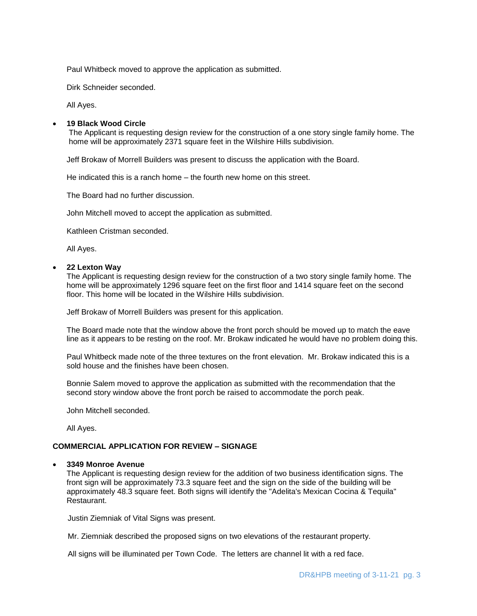Paul Whitbeck moved to approve the application as submitted.

Dirk Schneider seconded.

All Ayes.

### **19 Black Wood Circle**

The Applicant is requesting design review for the construction of a one story single family home. The home will be approximately 2371 square feet in the Wilshire Hills subdivision.

Jeff Brokaw of Morrell Builders was present to discuss the application with the Board.

He indicated this is a ranch home – the fourth new home on this street.

The Board had no further discussion.

John Mitchell moved to accept the application as submitted.

Kathleen Cristman seconded.

All Ayes.

#### **22 Lexton Way**

The Applicant is requesting design review for the construction of a two story single family home. The home will be approximately 1296 square feet on the first floor and 1414 square feet on the second floor. This home will be located in the Wilshire Hills subdivision.

Jeff Brokaw of Morrell Builders was present for this application.

The Board made note that the window above the front porch should be moved up to match the eave line as it appears to be resting on the roof. Mr. Brokaw indicated he would have no problem doing this.

Paul Whitbeck made note of the three textures on the front elevation. Mr. Brokaw indicated this is a sold house and the finishes have been chosen.

Bonnie Salem moved to approve the application as submitted with the recommendation that the second story window above the front porch be raised to accommodate the porch peak.

John Mitchell seconded.

All Ayes.

# **COMMERCIAL APPLICATION FOR REVIEW – SIGNAGE**

#### **3349 Monroe Avenue**

The Applicant is requesting design review for the addition of two business identification signs. The front sign will be approximately 73.3 square feet and the sign on the side of the building will be approximately 48.3 square feet. Both signs will identify the "Adelita's Mexican Cocina & Tequila" Restaurant.

Justin Ziemniak of Vital Signs was present.

Mr. Ziemniak described the proposed signs on two elevations of the restaurant property.

All signs will be illuminated per Town Code. The letters are channel lit with a red face.